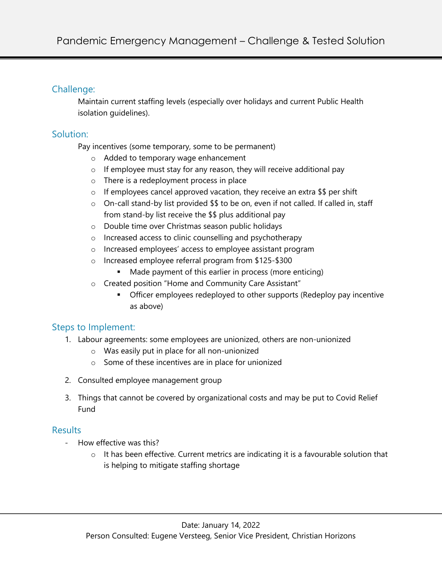## Challenge:

Maintain current staffing levels (especially over holidays and current Public Health isolation guidelines).

## Solution:

Pay incentives (some temporary, some to be permanent)

- o Added to temporary wage enhancement
- $\circ$  If employee must stay for any reason, they will receive additional pay
- o There is a redeployment process in place
- $\circ$  If employees cancel approved vacation, they receive an extra \$\$ per shift
- o On-call stand-by list provided \$\$ to be on, even if not called. If called in, staff from stand-by list receive the \$\$ plus additional pay
- o Double time over Christmas season public holidays
- o Increased access to clinic counselling and psychotherapy
- o Increased employees' access to employee assistant program
- o Increased employee referral program from \$125-\$300
	- Made payment of this earlier in process (more enticing)
- o Created position "Home and Community Care Assistant"
	- Officer employees redeployed to other supports (Redeploy pay incentive as above)

# Steps to Implement:

- 1. Labour agreements: some employees are unionized, others are non-unionized
	- o Was easily put in place for all non-unionized
	- o Some of these incentives are in place for unionized
- 2. Consulted employee management group
- 3. Things that cannot be covered by organizational costs and may be put to Covid Relief Fund

### **Results**

- How effective was this?
	- o It has been effective. Current metrics are indicating it is a favourable solution that is helping to mitigate staffing shortage